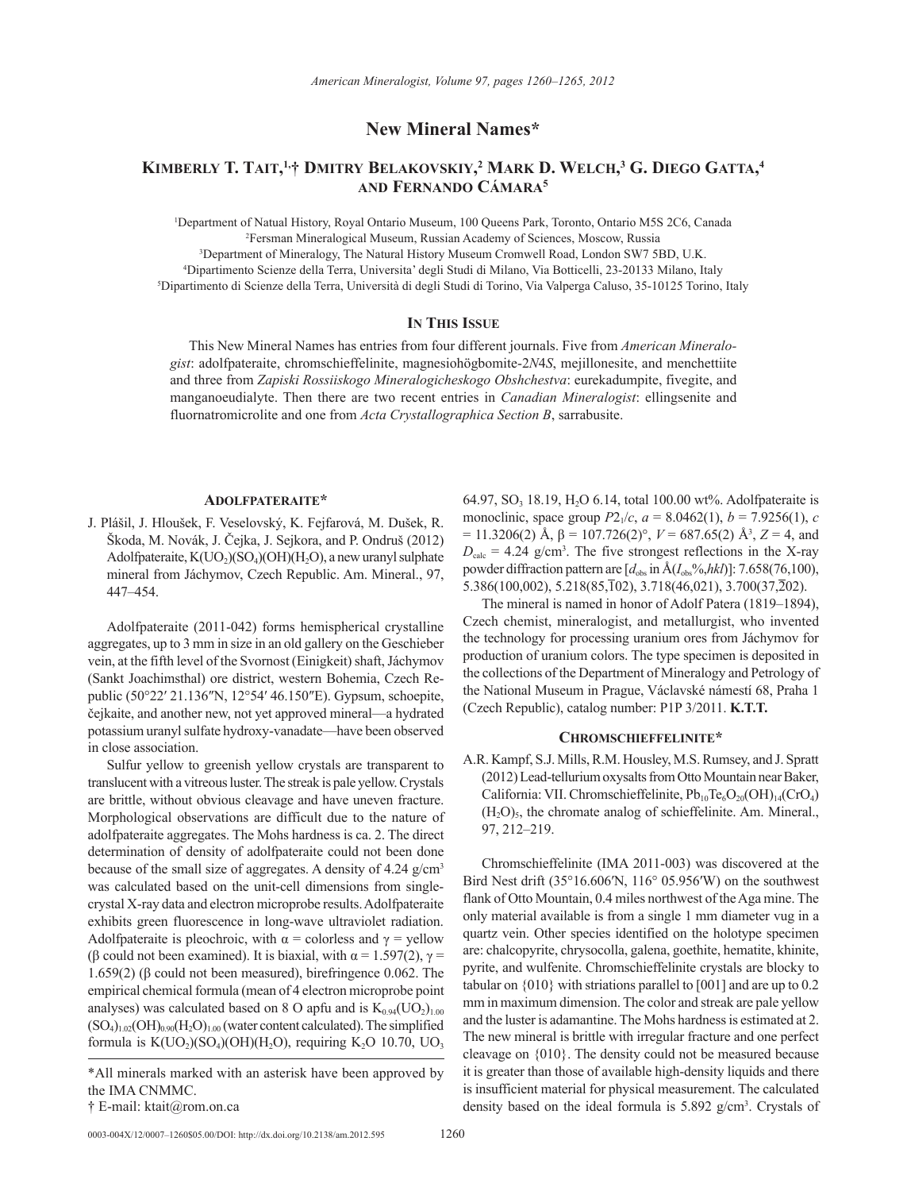**New Mineral Names\***

# **Kimberly T. Tait, 1,† Dmitry Belakovskiy, <sup>2</sup> Mark D. Welch, 3 G. Diego Gatta, 4 and Fernando Cámara5**

 Department of Natual History, Royal Ontario Museum, 100 Queens Park, Toronto, Ontario M5S 2C6, Canada Fersman Mineralogical Museum, Russian Academy of Sciences, Moscow, Russia Department of Mineralogy, The Natural History Museum Cromwell Road, London SW7 5BD, U.K. Dipartimento Scienze della Terra, Universita' degli Studi di Milano, Via Botticelli, 23-20133 Milano, Italy Dipartimento di Scienze della Terra, Università di degli Studi di Torino, Via Valperga Caluso, 35-10125 Torino, Italy

# **In This Issue**

This New Mineral Names has entries from four different journals. Five from *American Mineralogist*: adolfpateraite, chromschieffelinite, magnesiohögbomite-2*N*4*S*, mejillonesite, and menchettiite and three from *Zapiski Rossiiskogo Mineralogicheskogo Obshchestva*: eurekadumpite, fivegite, and manganoeudialyte. Then there are two recent entries in *Canadian Mineralogist*: ellingsenite and fluornatromicrolite and one from *Acta Crystallographica Section B*, sarrabusite.

## **Adolfpateraite\***

J. Plášil, J. Hloušek, F. Veselovský, K. Fejfarová, M. Dušek, R. Škoda, M. Novák, J. Čejka, J. Sejkora, and P. Ondruš (2012) Adolfpateraite,  $K(UO<sub>2</sub>)(SO<sub>4</sub>)(OH)(H<sub>2</sub>O)$ , a new uranyl sulphate mineral from Jáchymov, Czech Republic. Am. Mineral., 97, 447–454.

Adolfpateraite (2011-042) forms hemispherical crystalline aggregates, up to 3 mm in size in an old gallery on the Geschieber vein, at the fifth level of the Svornost (Einigkeit) shaft, Jáchymov (Sankt Joachimsthal) ore district, western Bohemia, Czech Republic (50°22′ 21.136″N, 12°54′ 46.150″E). Gypsum, schoepite, čejkaite, and another new, not yet approved mineral—a hydrated potassium uranyl sulfate hydroxy-vanadate—have been observed in close association.

Sulfur yellow to greenish yellow crystals are transparent to translucent with a vitreous luster. The streak is pale yellow. Crystals are brittle, without obvious cleavage and have uneven fracture. Morphological observations are difficult due to the nature of adolfpateraite aggregates. The Mohs hardness is ca. 2. The direct determination of density of adolfpateraite could not been done because of the small size of aggregates. A density of  $4.24$  g/cm<sup>3</sup> was calculated based on the unit-cell dimensions from singlecrystal X-ray data and electron microprobe results. Adolfpateraite exhibits green fluorescence in long-wave ultraviolet radiation. Adolfpateraite is pleochroic, with  $\alpha$  = colorless and  $\gamma$  = yellow (β could not been examined). It is biaxial, with  $\alpha = 1.597(2)$ ,  $\gamma =$ 1.659(2) (β could not been measured), birefringence 0.062. The empirical chemical formula (mean of 4 electron microprobe point analyses) was calculated based on 8 O apfu and is  $K_{0.94}(UO<sub>2</sub>)<sub>1.00</sub>$  $(SO_4)_{1.02}(OH)_{0.90}(H_2O)_{1.00}$  (water content calculated). The simplified formula is  $K(UO<sub>2</sub>)(SO<sub>4</sub>)(OH)(H<sub>2</sub>O)$ , requiring  $K<sub>2</sub>O$  10.70, UO<sub>3</sub>

64.97, SO<sub>3</sub> 18.19, H<sub>2</sub>O 6.14, total 100.00 wt%. Adolfpateraite is monoclinic, space group  $P2_1/c$ ,  $a = 8.0462(1)$ ,  $b = 7.9256(1)$ ,  $c$  $= 11.3206(2)$  Å,  $β = 107.726(2)°$ ,  $V = 687.65(2)$  Å<sup>3</sup>,  $Z = 4$ , and  $D_{\text{calc}} = 4.24$  g/cm<sup>3</sup>. The five strongest reflections in the X-ray powder diffraction pattern are  $[d_{obs}$  in  $\text{Å}(I_{obs}\%$ *,hkl*)]: 7.658(76,100), 5.386(100,002), 5.218(85,102), 3.718(46,021), 3.700(37,202).

The mineral is named in honor of Adolf Patera (1819–1894), Czech chemist, mineralogist, and metallurgist, who invented the technology for processing uranium ores from Jáchymov for production of uranium colors. The type specimen is deposited in the collections of the Department of Mineralogy and Petrology of the National Museum in Prague, Václavské námestí 68, Praha 1 (Czech Republic), catalog number: P1P 3/2011. **K.T.T.** 

#### **Chromschieffelinite\***

A.R. Kampf, S.J. Mills, R.M. Housley, M.S. Rumsey, and J. Spratt (2012) Lead-tellurium oxysalts from Otto Mountain near Baker, California: VII. Chromschieffelinite,  $Pb_{10}Te_6O_{20}(OH)_{14}(CrO_4)$  $(H<sub>2</sub>O)<sub>5</sub>$ , the chromate analog of schieffelinite. Am. Mineral., 97, 212–219.

Chromschieffelinite (IMA 2011-003) was discovered at the Bird Nest drift (35°16.606′N, 116° 05.956′W) on the southwest flank of Otto Mountain, 0.4 miles northwest of the Aga mine. The only material available is from a single 1 mm diameter vug in a quartz vein. Other species identified on the holotype specimen are: chalcopyrite, chrysocolla, galena, goethite, hematite, khinite, pyrite, and wulfenite. Chromschieffelinite crystals are blocky to tabular on {010} with striations parallel to [001] and are up to 0.2 mm in maximum dimension. The color and streak are pale yellow and the luster is adamantine. The Mohs hardness is estimated at 2. The new mineral is brittle with irregular fracture and one perfect cleavage on {010}. The density could not be measured because it is greater than those of available high-density liquids and there is insufficient material for physical measurement. The calculated density based on the ideal formula is 5.892 g/cm<sup>3</sup>. Crystals of

<sup>\*</sup>All minerals marked with an asterisk have been approved by the IMA CNMMC.

<sup>†</sup> E-mail: ktait@rom.on.ca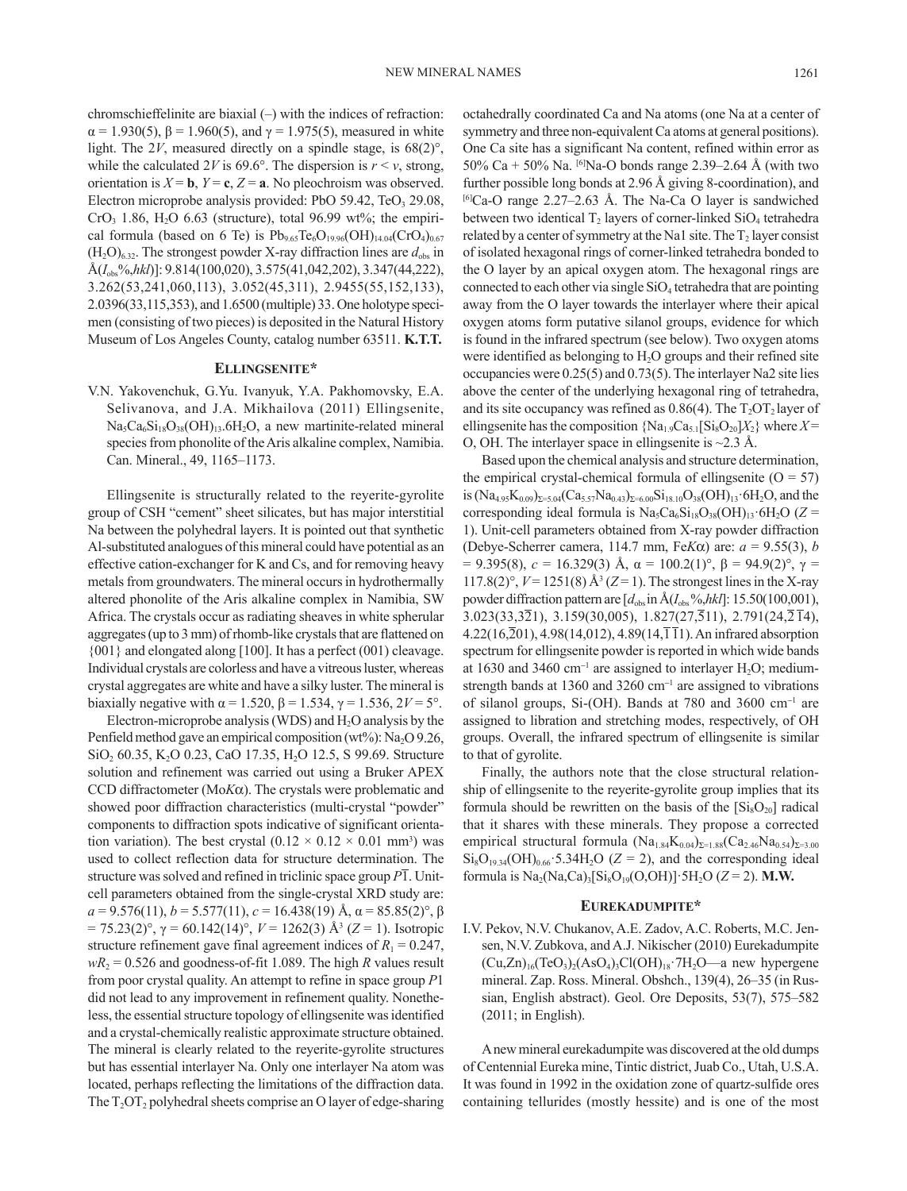chromschieffelinite are biaxial (–) with the indices of refraction:  $\alpha = 1.930(5)$ ,  $\beta = 1.960(5)$ , and  $\gamma = 1.975(5)$ , measured in white light. The  $2V$ , measured directly on a spindle stage, is  $68(2)^\circ$ , while the calculated 2*V* is 69.6°. The dispersion is  $r < v$ , strong, orientation is  $X = \mathbf{b}$ ,  $Y = \mathbf{c}$ ,  $Z = \mathbf{a}$ . No pleochroism was observed. Electron microprobe analysis provided: PbO 59.42, TeO<sub>3</sub> 29.08,  $CrO<sub>3</sub>$  1.86, H<sub>2</sub>O 6.63 (structure), total 96.99 wt%; the empirical formula (based on 6 Te) is  $Pb_{9.65}Te_6O_{19.96}(OH)_{14.04}(CrO_4)_{0.67}$  $(H_2O)_{6.32}$ . The strongest powder X-ray diffraction lines are  $d_{obs}$  in Å(*I*obs%,*hkl*)]: 9.814(100,020), 3.575(41,042,202), 3.347(44,222), 3.262(53,241,060,113), 3.052(45,311), 2.9455(55,152,133), 2.0396(33,115,353), and 1.6500 (multiple) 33. One holotype specimen (consisting of two pieces) is deposited in the Natural History

# Museum of Los Angeles County, catalog number 63511. **K.T.T. Ellingsenite\***

V.N. Yakovenchuk, G.Yu. Ivanyuk, Y.A. Pakhomovsky, E.A. Selivanova, and J.A. Mikhailova (2011) Ellingsenite,  $Na<sub>5</sub>Ca<sub>6</sub>Si<sub>18</sub>O<sub>38</sub>(OH)<sub>13</sub>.6H<sub>2</sub>O$ , a new martinite-related mineral species from phonolite of the Aris alkaline complex, Namibia. Can. Mineral., 49, 1165–1173.

Ellingsenite is structurally related to the reyerite-gyrolite group of CSH "cement" sheet silicates, but has major interstitial Na between the polyhedral layers. It is pointed out that synthetic Al-substituted analogues of this mineral could have potential as an effective cation-exchanger for K and Cs, and for removing heavy metals from groundwaters. The mineral occurs in hydrothermally altered phonolite of the Aris alkaline complex in Namibia, SW Africa. The crystals occur as radiating sheaves in white spherular aggregates (up to 3 mm) of rhomb-like crystals that are flattened on {001} and elongated along [100]. It has a perfect (001) cleavage. Individual crystals are colorless and have a vitreous luster, whereas crystal aggregates are white and have a silky luster. The mineral is biaxially negative with  $\alpha$  = 1.520,  $\beta$  = 1.534,  $\gamma$  = 1.536, 2*V* = 5°.

Electron-microprobe analysis (WDS) and  $H_2O$  analysis by the Penfield method gave an empirical composition ( $wt\%$ ): Na<sub>2</sub>O 9.26, SiO<sub>2</sub> 60.35, K<sub>2</sub>O 0.23, CaO 17.35, H<sub>2</sub>O 12.5, S 99.69. Structure solution and refinement was carried out using a Bruker APEX CCD diffractometer ( $M \circ K \alpha$ ). The crystals were problematic and showed poor diffraction characteristics (multi-crystal "powder" components to diffraction spots indicative of significant orientation variation). The best crystal  $(0.12 \times 0.12 \times 0.01 \text{ mm}^3)$  was used to collect reflection data for structure determination. The structure was solved and refined in triclinic space group *P*1. Unitcell parameters obtained from the single-crystal XRD study are:  $a = 9.576(11), b = 5.577(11), c = 16.438(19)$  Å,  $\alpha = 85.85(2)^\circ$ ,  $\beta$ = 75.23(2)°, γ = 60.142(14)°, *V* = 1262(3) Å<sup>3</sup> (*Z* = 1). Isotropic structure refinement gave final agreement indices of  $R_1 = 0.247$ ,  $wR_2 = 0.526$  and goodness-of-fit 1.089. The high *R* values result from poor crystal quality. An attempt to refine in space group *P*1 did not lead to any improvement in refinement quality. Nonetheless, the essential structure topology of ellingsenite was identified and a crystal-chemically realistic approximate structure obtained. The mineral is clearly related to the reyerite-gyrolite structures but has essential interlayer Na. Only one interlayer Na atom was located, perhaps reflecting the limitations of the diffraction data. The  $T_2$ O $T_2$  polyhedral sheets comprise an O layer of edge-sharing

octahedrally coordinated Ca and Na atoms (one Na at a center of symmetry and three non-equivalent Ca atoms at general positions). One Ca site has a significant Na content, refined within error as 50% Ca + 50% Na.  $^{[6]}$ Na-O bonds range 2.39–2.64 Å (with two further possible long bonds at 2.96 Å giving 8-coordination), and  $^{[6]}$ Ca-O range 2.27–2.63 Å. The Na-Ca O layer is sandwiched between two identical  $T_2$  layers of corner-linked  $SiO_4$  tetrahedra related by a center of symmetry at the Na1 site. The  $T_2$  layer consist of isolated hexagonal rings of corner-linked tetrahedra bonded to the O layer by an apical oxygen atom. The hexagonal rings are connected to each other via single  $SiO<sub>4</sub>$  tetrahedra that are pointing away from the O layer towards the interlayer where their apical oxygen atoms form putative silanol groups, evidence for which is found in the infrared spectrum (see below). Two oxygen atoms were identified as belonging to  $H<sub>2</sub>O$  groups and their refined site occupancies were 0.25(5) and 0.73(5). The interlayer Na2 site lies above the center of the underlying hexagonal ring of tetrahedra, and its site occupancy was refined as  $0.86(4)$ . The  $T<sub>2</sub>OT<sub>2</sub>$  layer of ellingsenite has the composition  $\{Na_{1.9}Ca_{5.1}[Si_8O_{20}]X_2\}$  where  $X=$ O, OH. The interlayer space in ellingsenite is  $\sim$ 2.3 Å.

Based upon the chemical analysis and structure determination, the empirical crystal-chemical formula of ellingsenite  $(O = 57)$ is  $(Na_{4.95}K_{0.09})_{\Sigma=5.04}(Ca_{5.57}Na_{0.43})_{\Sigma=6.00}Si_{18.10}O_{38}(OH)_{13}\cdot 6H_2O$ , and the corresponding ideal formula is  $Na<sub>5</sub>Ca<sub>6</sub>Si<sub>18</sub>O<sub>38</sub>(OH)<sub>13</sub>·6H<sub>2</sub>O (Z =$ 1). Unit-cell parameters obtained from X-ray powder diffraction (Debye-Scherrer camera, 114.7 mm, Fe*K*a) are: *a* = 9.55(3), *b* = 9.395(8), *c* = 16.329(3) Å,  $\alpha$  = 100.2(1)°,  $\beta$  = 94.9(2)°,  $\gamma$  = 117.8(2)°,  $V = 1251(8)$  Å<sup>3</sup> ( $Z = 1$ ). The strongest lines in the X-ray powder diffraction pattern are  $\left[d_{\text{obs}}\right]$  in  $\rm{A}(I_{obs}\%$ *,hkl*]: 15.50(100,001),  $3.023(33,3\overline{2}1), 3.159(30,005), 1.827(27,511), 2.791(24,2\overline{1}4),$  $4.22(16,\overline{2}01)$ ,  $4.98(14,012)$ ,  $4.89(14,\overline{1}\overline{1}1)$ . An infrared absorption spectrum for ellingsenite powder is reported in which wide bands at 1630 and 3460  $cm^{-1}$  are assigned to interlayer  $H_2O$ ; mediumstrength bands at 1360 and 3260 cm<sup>-1</sup> are assigned to vibrations of silanol groups, Si-(OH). Bands at 780 and 3600 cm-<sup>1</sup> are assigned to libration and stretching modes, respectively, of OH groups. Overall, the infrared spectrum of ellingsenite is similar to that of gyrolite.

Finally, the authors note that the close structural relationship of ellingsenite to the reyerite-gyrolite group implies that its formula should be rewritten on the basis of the  $[Si_8O_{20}]$  radical that it shares with these minerals. They propose a corrected empirical structural formula  $(Na_{1.84}K_{0.04})_{\Sigma=1.88}(Ca_{2.46}Na_{0.54})_{\Sigma=3.00}$  $Si_8O_{19,34}(OH)_{0.66}$ : 5.34H<sub>2</sub>O (*Z* = 2), and the corresponding ideal formula is  $Na_2(Na,Ca)_3[Si_8O_{19}(O,OH)]$  5H<sub>2</sub>O (*Z* = 2). **M.W.** 

#### **Eurekadumpite\***

I.V. Pekov, N.V. Chukanov, A.E. Zadov, A.C. Roberts, M.C. Jensen, N.V. Zubkova, and A.J. Nikischer (2010) Eurekadumpite  $(Cu,Zn)_{16}(TeO_3)_2(AsO_4)_3Cl(OH)_{18}$  7H<sub>2</sub>O—a new hypergene mineral. Zap. Ross. Mineral. Obshch., 139(4), 26–35 (in Russian, English abstract). Geol. Ore Deposits, 53(7), 575–582 (2011; in English).

A new mineral eurekadumpite was discovered at the old dumps of Centennial Eureka mine, Tintic district, Juab Co., Utah, U.S.A. It was found in 1992 in the oxidation zone of quartz-sulfide ores containing tellurides (mostly hessite) and is one of the most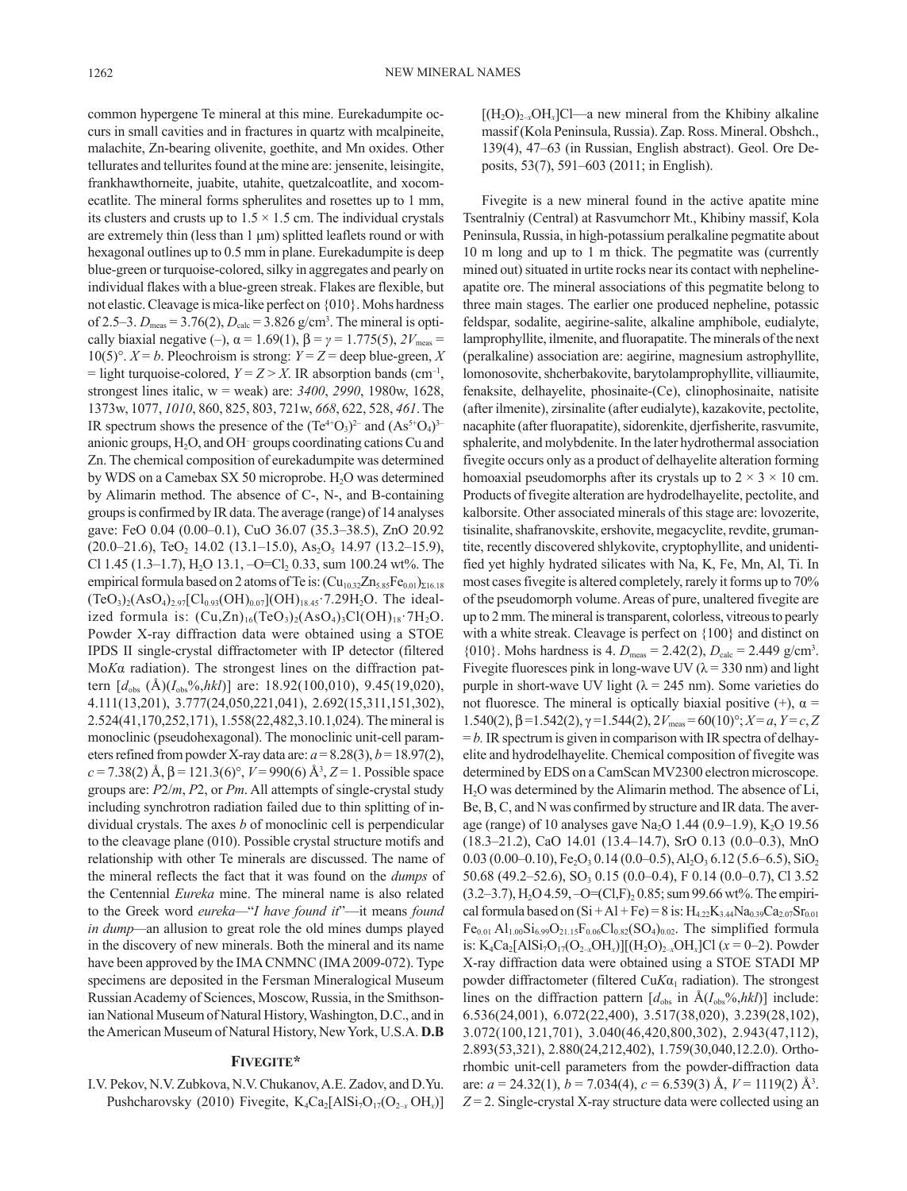common hypergene Te mineral at this mine. Eurekadumpite occurs in small cavities and in fractures in quartz with mcalpineite, malachite, Zn-bearing olivenite, goethite, and Mn oxides. Other tellurates and tellurites found at the mine are: jensenite, leisingite, frankhawthorneite, juabite, utahite, quetzalcoatlite, and xocomecatlite. The mineral forms spherulites and rosettes up to 1 mm, its clusters and crusts up to  $1.5 \times 1.5$  cm. The individual crystals are extremely thin (less than 1 μm) splitted leaflets round or with hexagonal outlines up to 0.5 mm in plane. Eurekadumpite is deep blue-green or turquoise-colored, silky in aggregates and pearly on individual flakes with a blue-green streak. Flakes are flexible, but not elastic. Cleavage is mica-like perfect on {010}. Mohs hardness of 2.5–3.  $D_{\text{meas}} = 3.76(2)$ ,  $D_{\text{calc}} = 3.826$  g/cm<sup>3</sup>. The mineral is optically biaxial negative (–),  $\alpha = 1.69(1)$ ,  $\beta = \gamma = 1.775(5)$ ,  $2V_{\text{meas}} =$ 10(5)°.  $X = b$ . Pleochroism is strong:  $Y = Z =$  deep blue-green, X  $=$  light turquoise-colored,  $Y = Z > X$ . IR absorption bands (cm<sup>-1</sup>, strongest lines italic, w = weak) are: *3400*, *2990*, 1980w, 1628, 1373w, 1077, *1010*, 860, 825, 803, 721w, *668*, 622, 528, *461*. The IR spectrum shows the presence of the  $(Te^{4+}O_3)^{2-}$  and  $(As^{5+}O_4)^{3-}$ anionic groups, H<sub>2</sub>O, and OH<sup>-</sup> groups coordinating cations Cu and Zn. The chemical composition of eurekadumpite was determined by WDS on a Camebax SX 50 microprobe. H<sub>2</sub>O was determined by Alimarin method. The absence of C-, N-, and B-containing groups is confirmed by IR data. The average (range) of 14 analyses gave: FeO 0.04 (0.00–0.1), CuO 36.07 (35.3–38.5), ZnO 20.92  $(20.0-21.6)$ , TeO<sub>2</sub> 14.02 (13.1–15.0), As<sub>2</sub>O<sub>5</sub> 14.97 (13.2–15.9), Cl 1.45 (1.3–1.7), H<sub>2</sub>O 13.1, -O=Cl<sub>2</sub> 0.33, sum 100.24 wt%. The empirical formula based on 2 atoms of Te is:  $(Cu_{10.32}Zn_{5.85}Fe_{0.01})_{\Sigma 16.18}$  $(TeO<sub>3</sub>)<sub>2</sub>(AsO<sub>4</sub>)<sub>2.97</sub>[Cl<sub>0.93</sub>(OH)<sub>0.07</sub>](OH)<sub>18.45</sub>·7.29H<sub>2</sub>O. The ideal$ ized formula is:  $(Cu,Zn)_{16}(TeO_3)_2(AsO_4)_3Cl(OH)_{18}$  7H<sub>2</sub>O. Powder X-ray diffraction data were obtained using a STOE IPDS II single-crystal diffractometer with IP detector (filtered Mo*K*α radiation). The strongest lines on the diffraction pattern [*d*obs (Å)(*I*obs%,*hkl*)] are: 18.92(100,010), 9.45(19,020), 4.111(13,201), 3.777(24,050,221,041), 2.692(15,311,151,302), 2.524(41,170,252,171), 1.558(22,482,3.10.1,024). The mineral is monoclinic (pseudohexagonal). The monoclinic unit-cell parameters refined from powder X-ray data are:  $a = 8.28(3)$ ,  $b = 18.97(2)$ ,  $c = 7.38(2)$  Å,  $\beta = 121.3(6)^\circ$ ,  $V = 990(6)$  Å<sup>3</sup>,  $Z = 1$ . Possible space groups are: *P*2/*m*, *P*2, or *Pm*. All attempts of single-crystal study including synchrotron radiation failed due to thin splitting of individual crystals. The axes *b* of monoclinic cell is perpendicular to the cleavage plane (010). Possible crystal structure motifs and relationship with other Te minerals are discussed. The name of the mineral reflects the fact that it was found on the *dumps* of the Centennial *Eureka* mine. The mineral name is also related to the Greek word *eureka—*"*I have found it*"—it means *found in dump—*an allusion to great role the old mines dumps played in the discovery of new minerals. Both the mineral and its name have been approved by the IMA CNMNC (IMA 2009-072). Type specimens are deposited in the Fersman Mineralogical Museum Russian Academy of Sciences, Moscow, Russia, in the Smithsonian National Museum of Natural History, Washington, D.C., and in the American Museum of Natural History, New York, U.S.A. **D.B**

# **Fivegite\***

I.V. Pekov, N.V. Zubkova, N.V. Chukanov, A.E. Zadov, and D.Yu. Pushcharovsky (2010) Fivegite, K<sub>4</sub>Ca<sub>2</sub>[AlSi<sub>7</sub>O<sub>17</sub>(O<sub>2-x</sub> OH<sub>x</sub>)]  $[(H_2O)_{2-x}OH_x]Cl$ —a new mineral from the Khibiny alkaline massif (Kola Peninsula, Russia). Zap. Ross. Mineral. Obshch., 139(4), 47–63 (in Russian, English abstract). Geol. Ore Deposits, 53(7), 591–603 (2011; in English).

Fivegite is a new mineral found in the active apatite mine Tsentralniy (Central) at Rasvumchorr Mt., Khibiny massif, Kola Peninsula, Russia, in high-potassium peralkaline pegmatite about 10 m long and up to 1 m thick. The pegmatite was (currently mined out) situated in urtite rocks near its contact with nephelineapatite ore. The mineral associations of this pegmatite belong to three main stages. The earlier one produced nepheline, potassic feldspar, sodalite, aegirine-salite, alkaline amphibole, eudialyte, lamprophyllite, ilmenite, and fluorapatite. The minerals of the next (peralkaline) association are: aegirine, magnesium astrophyllite, lomonosovite, shcherbakovite, barytolamprophyllite, villiaumite, fenaksite, delhayelite, phosinaite-(Ce), clinophosinaite, natisite (after ilmenite), zirsinalite (after eudialyte), kazakovite, pectolite, nacaphite (after fluorapatite), sidorenkite, djerfisherite, rasvumite, sphalerite, and molybdenite. In the later hydrothermal association fivegite occurs only as a product of delhayelite alteration forming homoaxial pseudomorphs after its crystals up to  $2 \times 3 \times 10$  cm. Products of fivegite alteration are hydrodelhayelite, pectolite, and kalborsite. Other associated minerals of this stage are: lovozerite, tisinalite, shafranovskite, ershovite, megacyclite, revdite, grumantite, recently discovered shlykovite, cryptophyllite, and unidentified yet highly hydrated silicates with Na, K, Fe, Mn, Al, Ti. In most cases fivegite is altered completely, rarely it forms up to 70% of the pseudomorph volume. Areas of pure, unaltered fivegite are up to 2 mm. The mineral is transparent, colorless, vitreous to pearly with a white streak. Cleavage is perfect on {100} and distinct on  ${010}$ . Mohs hardness is 4.  $D_{\text{meas}} = 2.42(2)$ ,  $D_{\text{calc}} = 2.449 \text{ g/cm}^3$ . Fivegite fluoresces pink in long-wave UV ( $\lambda$  = 330 nm) and light purple in short-wave UV light ( $\lambda$  = 245 nm). Some varieties do not fluoresce. The mineral is optically biaxial positive  $(+)$ ,  $\alpha =$ 1.540(2),  $β = 1.542(2)$ ,  $γ = 1.544(2)$ ,  $2V_{\text{meas}} = 60(10)°$ ;  $X = a$ ,  $Y = c$ ,  $Z$  $= b$ . IR spectrum is given in comparison with IR spectra of delhayelite and hydrodelhayelite. Chemical composition of fivegite was determined by EDS on a CamScan MV2300 electron microscope. H2O was determined by the Alimarin method. The absence of Li, Be, B, C, and N was confirmed by structure and IR data. The average (range) of 10 analyses gave Na<sub>2</sub>O 1.44 (0.9–1.9), K<sub>2</sub>O 19.56 (18.3–21.2), CaO 14.01 (13.4–14.7), SrO 0.13 (0.0–0.3), MnO 0.03 (0.00–0.10),  $Fe<sub>2</sub>O<sub>3</sub> 0.14$  (0.0–0.5), Al<sub>2</sub>O<sub>3</sub> 6.12 (5.6–6.5), SiO<sub>2</sub>  $50.68$  (49.2–52.6), SO<sub>3</sub> 0.15 (0.0–0.4), F 0.14 (0.0–0.7), Cl 3.52  $(3.2–3.7)$ , H<sub>2</sub>O 4.59,  $-O=(Cl,F)_2 0.85$ ; sum 99.66 wt%. The empirical formula based on  $(Si + A1 + Fe) = 8$  is:  $H_{4.22}K_{3.44}Na_{0.39}Ca_{2.07}Sr_{0.01}$  $Fe_{0.01}$  Al<sub>1.00</sub>Si<sub>6.99</sub>O<sub>21.15</sub>F<sub>0.06</sub>Cl<sub>0.82</sub>(SO<sub>4</sub>)<sub>0.02</sub>. The simplified formula is: K<sub>4</sub>Ca<sub>2</sub>[AlSi<sub>7</sub>O<sub>17</sub>(O<sub>2-x</sub>OH<sub>x</sub>)][(H<sub>2</sub>O)<sub>2-x</sub>OH<sub>x</sub>]Cl ( $x = 0-2$ ). Powder X-ray diffraction data were obtained using a STOE STADI MP powder diffractometer (filtered Cu*Kα*<sub>1</sub> radiation). The strongest lines on the diffraction pattern  $[d_{obs}$  in  $\hat{A}(I_{obs}\%$ ,*hkl*)] include: 6.536(24,001), 6.072(22,400), 3.517(38,020), 3.239(28,102), 3.072(100,121,701), 3.040(46,420,800,302), 2.943(47,112), 2.893(53,321), 2.880(24,212,402), 1.759(30,040,12.2.0). Orthorhombic unit-cell parameters from the powder-diffraction data are: *a* = 24.32(1), *b* = 7.034(4), *c* = 6.539(3) Å, *V* = 1119(2) Å<sup>3</sup> .  $Z = 2$ . Single-crystal X-ray structure data were collected using an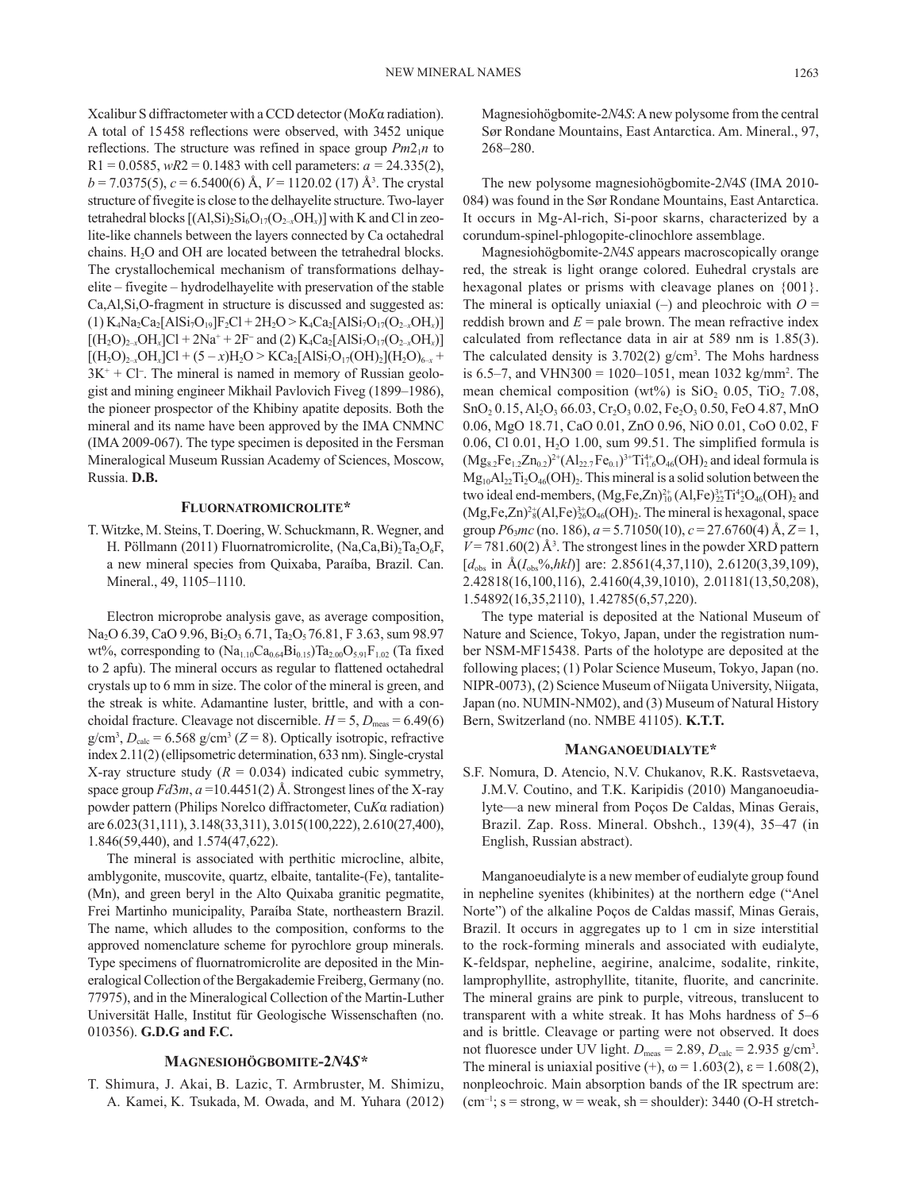Xcalibur S diffractometer with a CCD detector (Mo*K*α radiation). A total of 15458 reflections were observed, with 3452 unique reflections. The structure was refined in space group  $Pm2_1n$  to  $R1 = 0.0585$ ,  $wR2 = 0.1483$  with cell parameters:  $a = 24.335(2)$ , *b* = 7.0375(5), *c* = 6.5400(6) Å, *V* = 1120.02 (17) Å<sup>3</sup> . The crystal structure of fivegite is close to the delhayelite structure. Two-layer tetrahedral blocks  $[(A\,Si)_{2}Si_{6}O_{17}(O_{2-x}OH_{x})]$  with K and Cl in zeolite-like channels between the layers connected by Ca octahedral chains.  $H_2O$  and OH are located between the tetrahedral blocks. The crystallochemical mechanism of transformations delhayelite – fivegite – hydrodelhayelite with preservation of the stable Ca,Al,Si,O-fragment in structure is discussed and suggested as:  $(1)$  K<sub>4</sub>Na<sub>2</sub>Ca<sub>2</sub>[AlSi<sub>7</sub>O<sub>19</sub>]F<sub>2</sub>Cl + 2H<sub>2</sub>O > K<sub>4</sub>Ca<sub>2</sub>[AlSi<sub>7</sub>O<sub>17</sub>(O<sub>2-x</sub>OH<sub>x</sub>)]  $[(H_2O)_{2-x}OH_x]Cl + 2Na^+ + 2F^-$  and (2)  $K_4Ca_2[AlSi_7O_{17}(O_{2-x}OH_x)]$  $[(H_2O)_{2-x}OH_x]Cl + (5-x)H_2O > KCa_2[AlSi_7O_{17}(OH)_2](H_2O)_{6-x}$  $3K^+ + Cl^-$ . The mineral is named in memory of Russian geologist and mining engineer Mikhail Pavlovich Fiveg (1899–1986), the pioneer prospector of the Khibiny apatite deposits. Both the mineral and its name have been approved by the IMA CNMNC (IMA 2009-067). The type specimen is deposited in the Fersman Mineralogical Museum Russian Academy of Sciences, Moscow, Russia. **D.B.**

# **Fluornatromicrolite\***

T. Witzke, M. Steins, T. Doering, W. Schuckmann, R. Wegner, and H. Pöllmann (2011) Fluornatromicrolite,  $(Na,Ca,Bi)$ <sub>7</sub>Ta<sub>2</sub>O<sub>6</sub>F, a new mineral species from Quixaba, Paraíba, Brazil. Can. Mineral., 49, 1105–1110.

Electron microprobe analysis gave, as average composition, Na<sub>2</sub>O 6.39, CaO 9.96, Bi<sub>2</sub>O<sub>3</sub> 6.71, Ta<sub>2</sub>O<sub>5</sub> 76.81, F 3.63, sum 98.97 wt%, corresponding to  $(Na_{1.10}Ca_{0.64}Bi_{0.15})Ta_{2.00}O_{5.91}F_{1.02}$  (Ta fixed to 2 apfu). The mineral occurs as regular to flattened octahedral crystals up to 6 mm in size. The color of the mineral is green, and the streak is white. Adamantine luster, brittle, and with a conchoidal fracture. Cleavage not discernible.  $H = 5$ ,  $D_{\text{meas}} = 6.49(6)$  $g/cm<sup>3</sup>, D<sub>calc</sub> = 6.568 g/cm<sup>3</sup> (Z = 8)$ . Optically isotropic, refractive index 2.11(2) (ellipsometric determination, 633 nm). Single-crystal X-ray structure study  $(R = 0.034)$  indicated cubic symmetry, space group  $Fd3m$ ,  $a = 10.4451(2)$  Å. Strongest lines of the X-ray powder pattern (Philips Norelco diffractometer, Cu*K*α radiation) are 6.023(31,111), 3.148(33,311), 3.015(100,222), 2.610(27,400), 1.846(59,440), and 1.574(47,622).

The mineral is associated with perthitic microcline, albite, amblygonite, muscovite, quartz, elbaite, tantalite-(Fe), tantalite- (Mn), and green beryl in the Alto Quixaba granitic pegmatite, Frei Martinho municipality, Paraíba State, northeastern Brazil. The name, which alludes to the composition, conforms to the approved nomenclature scheme for pyrochlore group minerals. Type specimens of fluornatromicrolite are deposited in the Mineralogical Collection of the Bergakademie Freiberg, Germany (no. 77975), and in the Mineralogical Collection of the Martin-Luther Universität Halle, Institut für Geologische Wissenschaften (no. 010356). **G.D.G and F.C.**

# **Magnesiohögbomite-2***N***4***S\**

T. Shimura, J. Akai, B. Lazic, T. Armbruster, M. Shimizu, A. Kamei, K. Tsukada, M. Owada, and M. Yuhara (2012)

Magnesiohögbomite-2*N*4*S*: A new polysome from the central Sør Rondane Mountains, East Antarctica. Am. Mineral., 97, 268–280.

The new polysome magnesiohögbomite-2*N*4*S* (IMA 2010- 084) was found in the Sør Rondane Mountains, East Antarctica. It occurs in Mg-Al-rich, Si-poor skarns, characterized by a corundum-spinel-phlogopite-clinochlore assemblage.

Magnesiohögbomite-2*N*4*S* appears macroscopically orange red, the streak is light orange colored. Euhedral crystals are hexagonal plates or prisms with cleavage planes on {001}. The mineral is optically uniaxial  $(-)$  and pleochroic with  $O =$ reddish brown and  $E =$  pale brown. The mean refractive index calculated from reflectance data in air at 589 nm is 1.85(3). The calculated density is  $3.702(2)$  g/cm<sup>3</sup>. The Mohs hardness is 6.5–7, and VHN300 =  $1020-1051$ , mean 1032 kg/mm<sup>2</sup>. The mean chemical composition (wt%) is  $SiO$ , 0.05, TiO, 7.08,  $SnO<sub>2</sub> 0.15, Al<sub>2</sub>O<sub>3</sub> 66.03, Cr<sub>2</sub>O<sub>3</sub> 0.02, Fe<sub>2</sub>O<sub>3</sub> 0.50, FeO 4.87, MnO$ 0.06, MgO 18.71, CaO 0.01, ZnO 0.96, NiO 0.01, CoO 0.02, F 0.06, Cl 0.01,  $H_2O$  1.00, sum 99.51. The simplified formula is  $(Mg_{8.2}Fe_{1.2}Zn_{0.2})^2$ <sup>+</sup> $(Al_{22.7}Fe_{0.1})^3$ <sup>+</sup> $Ti_{1.6}^{4+}O_{46}(OH)_{2}$  and ideal formula is  $Mg_{10}Al_{22}Ti_2O_{46}(OH)_2$ . This mineral is a solid solution between the two ideal end-members,  $(Mg, Fe, Zn)_{10}^{2+}(A1, Fe)_{22}^{3+}Ti_{2}^{4}O_{46}(OH)_{2}$  and  $(Mg,Fe,Zn)^{2*}_{8}(Al,Fe)^{3*}_{26}O_{46}(OH)_{2}.$  The mineral is hexagonal, space group *P*63*mc* (no. 186), *a* = 5.71050(10), *c* = 27.6760(4) Å, *Z* = 1,  $V = 781.60(2)$  Å<sup>3</sup>. The strongest lines in the powder XRD pattern  $[d_{obs}$  in  $\hat{A}(I_{obs}\%hkl)]$  are: 2.8561(4,37,110), 2.6120(3,39,109), 2.42818(16,100,116), 2.4160(4,39,1010), 2.01181(13,50,208), 1.54892(16,35,2110), 1.42785(6,57,220).

The type material is deposited at the National Museum of Nature and Science, Tokyo, Japan, under the registration number NSM-MF15438. Parts of the holotype are deposited at the following places; (1) Polar Science Museum, Tokyo, Japan (no. NIPR-0073), (2) Science Museum of Niigata University, Niigata, Japan (no. NUMIN-NM02), and (3) Museum of Natural History Bern, Switzerland (no. NMBE 41105). **K.T.T.** 

#### **Manganoeudialyte\***

S.F. Nomura, D. Atencio, N.V. Chukanov, R.K. Rastsvetaeva, J.M.V. Coutino, and T.K. Karipidis (2010) Manganoeudialyte—a new mineral from Poços De Caldas, Minas Gerais, Brazil. Zap. Ross. Mineral. Obshch., 139(4), 35–47 (in English, Russian abstract).

Manganoeudialyte is a new member of eudialyte group found in nepheline syenites (khibinites) at the northern edge ("Anel Norte") of the alkaline Poços de Caldas massif, Minas Gerais, Brazil. It occurs in aggregates up to 1 cm in size interstitial to the rock-forming minerals and associated with eudialyte, K-feldspar, nepheline, aegirine, analcime, sodalite, rinkite, lamprophyllite, astrophyllite, titanite, fluorite, and cancrinite. The mineral grains are pink to purple, vitreous, translucent to transparent with a white streak. It has Mohs hardness of 5–6 and is brittle. Cleavage or parting were not observed. It does not fluoresce under UV light.  $D_{\text{meas}} = 2.89$ ,  $D_{\text{calc}} = 2.935$  g/cm<sup>3</sup>. The mineral is uniaxial positive  $(+)$ ,  $\omega = 1.603(2)$ ,  $\varepsilon = 1.608(2)$ , nonpleochroic. Main absorption bands of the IR spectrum are:  $(cm^{-1})$ ; s = strong, w = weak, sh = shoulder): 3440 (O-H stretch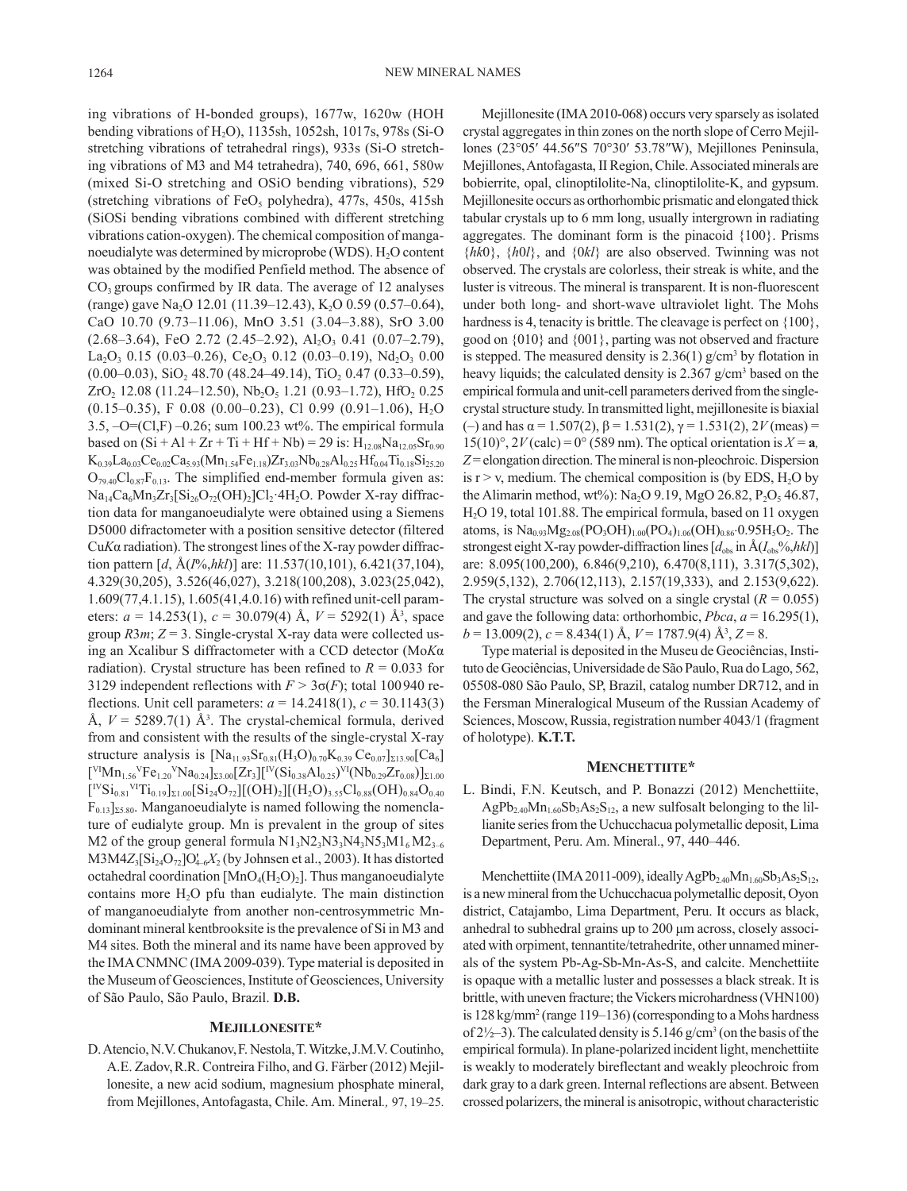ing vibrations of H-bonded groups), 1677w, 1620w (HOH bending vibrations of H2O), 1135sh, 1052sh, 1017s, 978s (Si-O stretching vibrations of tetrahedral rings), 933s (Si-O stretching vibrations of M3 and M4 tetrahedra), 740, 696, 661, 580w (mixed Si-O stretching and OSiO bending vibrations), 529 (stretching vibrations of FeO<sub>5</sub> polyhedra), 477s, 450s, 415sh (SiOSi bending vibrations combined with different stretching vibrations cation-oxygen). The chemical composition of manganoeudialyte was determined by microprobe (WDS).  $H_2O$  content was obtained by the modified Penfield method. The absence of  $CO<sub>3</sub>$  groups confirmed by IR data. The average of 12 analyses (range) gave Na<sub>2</sub>O 12.01 (11.39–12.43), K<sub>2</sub>O 0.59 (0.57–0.64), CaO 10.70 (9.73–11.06), MnO 3.51 (3.04–3.88), SrO 3.00  $(2.68-3.64)$ , FeO 2.72  $(2.45-2.92)$ , Al<sub>2</sub>O<sub>3</sub> 0.41  $(0.07-2.79)$ , La<sub>2</sub>O<sub>3</sub> 0.15 (0.03–0.26), Ce<sub>2</sub>O<sub>3</sub> 0.12 (0.03–0.19), Nd<sub>2</sub>O<sub>3</sub> 0.00  $(0.00-0.03)$ , SiO<sub>2</sub> 48.70 (48.24–49.14), TiO<sub>2</sub> 0.47 (0.33–0.59),  $ZrO<sub>2</sub>$  12.08 (11.24–12.50), Nb<sub>2</sub>O<sub>5</sub> 1.21 (0.93–1.72), HfO<sub>2</sub> 0.25  $(0.15-0.35)$ , F 0.08  $(0.00-0.23)$ , Cl 0.99  $(0.91-1.06)$ , H<sub>2</sub>O 3.5, –O=(Cl,F) –0.26; sum 100.23 wt%. The empirical formula based on  $(Si + A1 + Zr + Ti + Hf + Nb) = 29$  is:  $H_{12.08}Na_{12.05}Sr_{0.90}$  $K_{0.39}La_{0.03}Ce_{0.02}Ca_{5.93}(Mn_{1.54}Fe_{1.18})Zr_{3.03}Nb_{0.28}Al_{0.25}Hf_{0.04}Ti_{0.18}Si_{25.20}$  $O_{79.40}Cl_{0.87}F_{0.13}$ . The simplified end-member formula given as:  $Na<sub>14</sub>Ca<sub>6</sub>Mn<sub>3</sub>Zr<sub>3</sub>[Si<sub>26</sub>O<sub>72</sub>(OH)<sub>2</sub>]Cl<sub>2</sub>·4H<sub>2</sub>O. Power X-ray diffrac$ tion data for manganoeudialyte were obtained using a Siemens D5000 difractometer with a position sensitive detector (filtered Cu*K*α radiation). The strongest lines of the X-ray powder diffraction pattern [*d*, Å(*I*%,*hkl*)] are: 11.537(10,101), 6.421(37,104), 4.329(30,205), 3.526(46,027), 3.218(100,208), 3.023(25,042), 1.609(77,4.1.15), 1.605(41,4.0.16) with refined unit-cell parameters:  $a = 14.253(1)$ ,  $c = 30.079(4)$  Å,  $V = 5292(1)$  Å<sup>3</sup>, space group  $R3m$ ;  $Z = 3$ . Single-crystal X-ray data were collected using an Xcalibur S diffractometer with a CCD detector (Mo*K*α radiation). Crystal structure has been refined to  $R = 0.033$  for 3129 independent reflections with  $F > 3\sigma(F)$ ; total 100940 reflections. Unit cell parameters: *a* = 14.2418(1), *c* = 30.1143(3) Å,  $V = 5289.7(1)$  Å<sup>3</sup>. The crystal-chemical formula, derived from and consistent with the results of the single-crystal X-ray structure analysis is  $[Na_{11.93}Sr_{0.81}(H_3O)_{0.70}K_{0.39}Ce_{0.07}]_{\Sigma13.90}[Ca_6]$  $\frac{[V^I M_{1.56}V_{1.20}V_{1.20}V_{1.26}V_{1.25}]}{[V_{1.26}V_{1.25}V_{1.25}V_{1.25}V_{1.25}V_{1.25}V_{1.25}V_{1.25}V_{1.25}V_{1.25}V_{1.25}V_{1.25}V_{1.25}V_{1.25}V_{1.25}V_{1.25}V_{1.25}V_{1.25}V_{1.25}V_{1.25}V_{1.25}V_{1.25}V_{1.25}V_{1.25}V_{1.25}$  $\left[\text{^{IV}Si}_{0.81}\text{^{VI}Ti}_{0.19}\right]_{\Sigma1.00}\left[\text{Si}_{24}\text{O}_{72}\right]\left[\text{(OH)}_{2}\right]\left[\text{(H}_{2}\text{O})_{3.55}\text{Cl}_{0.88}(\text{OH})_{0.84}\text{O}_{0.40}\right]$  $F_{0.13}]_{\Sigma 5.80}$ . Manganoeudialyte is named following the nomenclature of eudialyte group. Mn is prevalent in the group of sites M2 of the group general formula  $N1_3N2_3N3_3N4_3N5_3M1_6M2_{3-6}$  $M3M4Z_3[Si_{24}O_{72}]O'_{4-6}X_2$  (by Johnsen et al., 2003). It has distorted octahedral coordination  $[MnO_4(H_2O)_2]$ . Thus manganoeudialyte contains more  $H_2O$  pfu than eudialyte. The main distinction of manganoeudialyte from another non-centrosymmetric Mndominant mineral kentbrooksite is the prevalence of Si in M3 and M4 sites. Both the mineral and its name have been approved by the IMA CNMNC (IMA 2009-039). Type material is deposited in the Museum of Geosciences, Institute of Geosciences, University of São Paulo, São Paulo, Brazil. **D.B.**

## **Mejillonesite\***

D. Atencio, N.V. Chukanov,F. Nestola,T. Witzke,J.M.V. Coutinho, A.E. Zadov,R.R. Contreira Filho, and G. Färber (2012) Mejillonesite, a new acid sodium, magnesium phosphate mineral, from Mejillones, Antofagasta, Chile. Am. Mineral*.,* 97, 19–25.

Mejillonesite (IMA 2010-068) occurs very sparsely as isolated crystal aggregates in thin zones on the north slope of Cerro Mejillones (23°05′ 44.56″S 70°30′ 53.78″W), Mejillones Peninsula, Mejillones, Antofagasta, II Region, Chile. Associated minerals are bobierrite, opal, clinoptilolite-Na, clinoptilolite-K, and gypsum. Mejillonesite occurs as orthorhombic prismatic and elongated thick tabular crystals up to 6 mm long, usually intergrown in radiating aggregates. The dominant form is the pinacoid {100}. Prisms {*hk*0}, {*h*0*l*}, and {0*kl*} are also observed. Twinning was not observed. The crystals are colorless, their streak is white, and the luster is vitreous. The mineral is transparent. It is non-fluorescent under both long- and short-wave ultraviolet light. The Mohs hardness is 4, tenacity is brittle. The cleavage is perfect on  $\{100\}$ , good on {010} and {001}, parting was not observed and fracture is stepped. The measured density is  $2.36(1)$  g/cm<sup>3</sup> by flotation in heavy liquids; the calculated density is 2.367 g/cm<sup>3</sup> based on the empirical formula and unit-cell parameters derived from the singlecrystal structure study. In transmitted light, mejillonesite is biaxial (–) and has α = 1.507(2), β = 1.531(2), γ = 1.531(2), 2*V* (meas) = 15(10)°,  $2V$  (calc) = 0° (589 nm). The optical orientation is  $X = a$ , *Z* = elongation direction. The mineral is non-pleochroic. Dispersion is  $r > v$ , medium. The chemical composition is (by EDS, H<sub>2</sub>O by the Alimarin method, wt%): Na<sub>2</sub>O 9.19, MgO 26.82, P<sub>2</sub>O<sub>5</sub> 46.87, H2O 19, total 101.88. The empirical formula, based on 11 oxygen atoms, is  $Na<sub>0.93</sub>Mg<sub>2.08</sub>(PO<sub>3</sub>OH)<sub>1.00</sub>(PO<sub>4</sub>)<sub>1.06</sub>(OH)<sub>0.86</sub>·0.95H<sub>5</sub>O<sub>2</sub>. The$ strongest eight X-ray powder-diffraction lines  $[d_{obs}$  in  $\hat{A}(I_{obs}\%hkl)]$ are: 8.095(100,200), 6.846(9,210), 6.470(8,111), 3.317(5,302), 2.959(5,132), 2.706(12,113), 2.157(19,333), and 2.153(9,622). The crystal structure was solved on a single crystal  $(R = 0.055)$ and gave the following data: orthorhombic, *Pbca*, *a* = 16.295(1), *b* = 13.009(2), *c* = 8.434(1) Å, *V* = 1787.9(4) Å<sup>3</sup> , *Z* = 8.

Type material is deposited in the Museu de Geociências, Instituto de Geociências, Universidade de São Paulo, Rua do Lago, 562, 05508-080 São Paulo, SP, Brazil, catalog number DR712, and in the Fersman Mineralogical Museum of the Russian Academy of Sciences, Moscow, Russia, registration number 4043/1 (fragment of holotype). **K.T.T.**

#### **Menchettiite\***

L. Bindi, F.N. Keutsch, and P. Bonazzi (2012) Menchettiite,  $AgPb_{2.40}Mn_{1.60}Sb_3As_2S_{12}$ , a new sulfosalt belonging to the lillianite series from the Uchucchacua polymetallic deposit, Lima Department, Peru. Am. Mineral., 97, 440–446.

Menchettiite (IMA 2011-009), ideally AgPb<sub>2.40</sub>Mn<sub>1.60</sub>Sb<sub>3</sub>As<sub>2</sub>S<sub>12</sub>, is a new mineral from the Uchucchacua polymetallic deposit, Oyon district, Catajambo, Lima Department, Peru. It occurs as black, anhedral to subhedral grains up to 200 μm across, closely associated with orpiment, tennantite/tetrahedrite, other unnamed minerals of the system Pb-Ag-Sb-Mn-As-S, and calcite. Menchettiite is opaque with a metallic luster and possesses a black streak. It is brittle, with uneven fracture; the Vickers microhardness (VHN100) is 128 kg/mm2 (range 119–136) (corresponding to a Mohs hardness of  $2\frac{1}{2}$ . The calculated density is 5.146 g/cm<sup>3</sup> (on the basis of the empirical formula). In plane-polarized incident light, menchettiite is weakly to moderately bireflectant and weakly pleochroic from dark gray to a dark green. Internal reflections are absent. Between crossed polarizers, the mineral is anisotropic, without characteristic